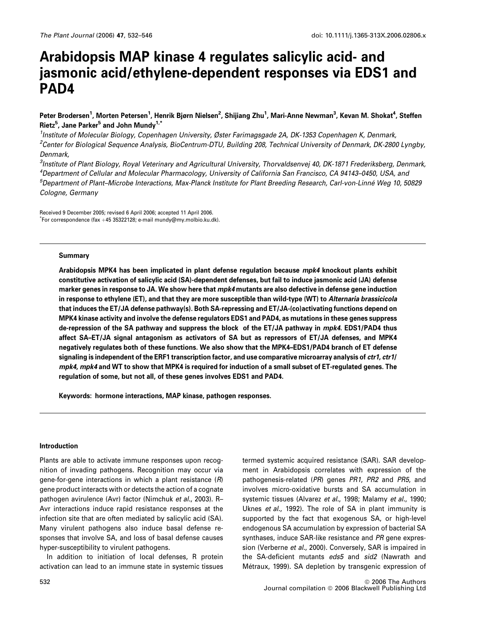# Arabidopsis MAP kinase 4 regulates salicylic acid- and jasmonic acid/ethylene-dependent responses via EDS1 and PAD4

# Peter Brodersen<sup>1</sup>, Morten Petersen<sup>1</sup>, Henrik Bjørn Nielsen<sup>2</sup>, Shijiang Zhu<sup>1</sup>, Mari-Anne Newman<sup>3</sup>, Kevan M. Shokat<sup>4</sup>, Steffen Rietz<sup>5</sup>, Jane Parker<sup>5</sup> and John Mundy<sup>1,\*</sup>

<sup>1</sup>Institute of Molecular Biology, Copenhagen University, Øster Farimagsgade 2A, DK-1353 Copenhagen K, Denmark, <sup>2</sup>Center for Biological Sequence Analysis, BioCentrum-DTU, Building 208, Technical University of Denmark, DK-2800 Lyngby, Denmark,

<sup>3</sup>Institute of Plant Biology, Royal Veterinary and Agricultural University, Thorvaldsenvej 40, DK-1871 Frederiksberg, Denmark, 4 Department of Cellular and Molecular Pharmacology, University of California San Francisco, CA 94143–0450, USA, and <sup>5</sup>Department of Plant–Microbe Interactions, Max-Planck Institute for Plant Breeding Research, Carl-von-Linné Weg 10, 50829 Cologne, Germany

Received 9 December 2005; revised 6 April 2006; accepted 11 April 2006.  $\check{}$ For correspondence (fax +45 35322128; e-mail mundy@my.molbio.ku.dk).

#### Summary

Arabidopsis MPK4 has been implicated in plant defense regulation because mpk4 knockout plants exhibit constitutive activation of salicylic acid (SA)-dependent defenses, but fail to induce jasmonic acid (JA) defense marker genes in response to JA. We show here that mpk4 mutants are also defective in defense gene induction in response to ethylene (ET), and that they are more susceptible than wild-type (WT) to Alternaria brassicicola that induces the ET/JA defense pathway(s). Both SA-repressing and ET/JA-(co)activating functions depend on MPK4 kinase activity and involve the defense regulators EDS1 and PAD4, as mutations in these genes suppress de-repression of the SA pathway and suppress the block of the ET/JA pathway in mpk4. EDS1/PAD4 thus affect SA–ET/JA signal antagonism as activators of SA but as repressors of ET/JA defenses, and MPK4 negatively regulates both of these functions. We also show that the MPK4–EDS1/PAD4 branch of ET defense signaling is independent of the ERF1 transcription factor, and use comparative microarray analysis of ctr1, ctr1/ mpk4, mpk4 and WT to show that MPK4 is required for induction of a small subset of ET-regulated genes. The regulation of some, but not all, of these genes involves EDS1 and PAD4.

Keywords: hormone interactions, MAP kinase, pathogen responses.

### Introduction

Plants are able to activate immune responses upon recognition of invading pathogens. Recognition may occur via gene-for-gene interactions in which a plant resistance  $(R)$ gene product interacts with or detects the action of a cognate pathogen avirulence (Avr) factor (Nimchuk et al., 2003). R– Avr interactions induce rapid resistance responses at the infection site that are often mediated by salicylic acid (SA). Many virulent pathogens also induce basal defense responses that involve SA, and loss of basal defense causes hyper-susceptibility to virulent pathogens.

In addition to initiation of local defenses, R protein activation can lead to an immune state in systemic tissues

termed systemic acquired resistance (SAR). SAR development in Arabidopsis correlates with expression of the pathogenesis-related (PR) genes PR1, PR2 and PR5, and involves micro-oxidative bursts and SA accumulation in systemic tissues (Alvarez et al., 1998; Malamy et al., 1990; Uknes et al., 1992). The role of SA in plant immunity is supported by the fact that exogenous SA, or high-level endogenous SA accumulation by expression of bacterial SA synthases, induce SAR-like resistance and PR gene expression (Verberne et al., 2000). Conversely, SAR is impaired in the SA-deficient mutants eds5 and sid2 (Nawrath and Métraux, 1999). SA depletion by transgenic expression of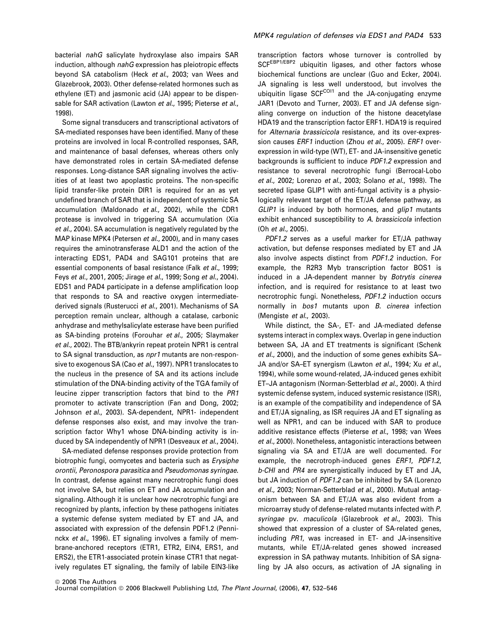bacterial nahG salicylate hydroxylase also impairs SAR induction, although nahG expression has pleiotropic effects beyond SA catabolism (Heck et al., 2003; van Wees and Glazebrook, 2003). Other defense-related hormones such as ethylene (ET) and jasmonic acid (JA) appear to be dispensable for SAR activation (Lawton et al., 1995; Pieterse et al., 1998).

Some signal transducers and transcriptional activators of SA-mediated responses have been identified. Many of these proteins are involved in local R-controlled responses, SAR, and maintenance of basal defenses, whereas others only have demonstrated roles in certain SA-mediated defense responses. Long-distance SAR signaling involves the activities of at least two apoplastic proteins. The non-specific lipid transfer-like protein DIR1 is required for an as yet undefined branch of SAR that is independent of systemic SA accumulation (Maldonado et al., 2002), while the CDR1 protease is involved in triggering SA accumulation (Xia et al., 2004). SA accumulation is negatively regulated by the MAP kinase MPK4 (Petersen et al., 2000), and in many cases requires the aminotransferase ALD1 and the action of the interacting EDS1, PAD4 and SAG101 proteins that are essential components of basal resistance (Falk et al., 1999; Feys et al., 2001, 2005; Jirage et al., 1999; Song et al., 2004). EDS1 and PAD4 participate in a defense amplification loop that responds to SA and reactive oxygen intermediatederived signals (Rusterucci et al., 2001). Mechanisms of SA perception remain unclear, although a catalase, carbonic anhydrase and methylsalicylate esterase have been purified as SA-binding proteins (Forouhar et al., 2005; Slaymaker et al., 2002). The BTB/ankyrin repeat protein NPR1 is central to SA signal transduction, as npr1 mutants are non-responsive to exogenous SA (Cao et al., 1997). NPR1 translocates to the nucleus in the presence of SA and its actions include stimulation of the DNA-binding activity of the TGA family of leucine zipper transcription factors that bind to the PR1 promoter to activate transcription (Fan and Dong, 2002; Johnson et al., 2003). SA-dependent, NPR1- independent defense responses also exist, and may involve the transcription factor Why1 whose DNA-binding activity is induced by SA independently of NPR1 (Desveaux et al., 2004).

SA-mediated defense responses provide protection from biotrophic fungi, oomycetes and bacteria such as Erysiphe orontii, Peronospora parasitica and Pseudomonas syringae. In contrast, defense against many necrotrophic fungi does not involve SA, but relies on ET and JA accumulation and signaling. Although it is unclear how necrotrophic fungi are recognized by plants, infection by these pathogens initiates a systemic defense system mediated by ET and JA, and associated with expression of the defensin PDF1.2 (Penninckx et al., 1996). ET signaling involves a family of membrane-anchored receptors (ETR1, ETR2, EIN4, ERS1, and ERS2), the ETR1-associated protein kinase CTR1 that negatively regulates ET signaling, the family of labile EIN3-like transcription factors whose turnover is controlled by SCFEBP1/EBP2 ubiquitin ligases, and other factors whose biochemical functions are unclear (Guo and Ecker, 2004). JA signaling is less well understood, but involves the ubiquitin ligase SCF<sup>COI1</sup> and the JA-conjugating enzyme JAR1 (Devoto and Turner, 2003). ET and JA defense signaling converge on induction of the histone deacetylase HDA19 and the transcription factor ERF1. HDA19 is required for Alternaria brassicicola resistance, and its over-expression causes *ERF1* induction (Zhou et al., 2005). *ERF1* overexpression in wild-type (WT), ET- and JA-insensitive genetic backgrounds is sufficient to induce PDF1.2 expression and resistance to several necrotrophic fungi (Berrocal-Lobo et al., 2002; Lorenzo et al., 2003; Solano et al., 1998). The secreted lipase GLIP1 with anti-fungal activity is a physiologically relevant target of the ET/JA defense pathway, as GLIP1 is induced by both hormones, and glip1 mutants exhibit enhanced susceptibility to A. brassicicola infection (Oh et al., 2005).

PDF1.2 serves as a useful marker for ET/JA pathway activation, but defense responses mediated by ET and JA also involve aspects distinct from PDF1.2 induction. For example, the R2R3 Myb transcription factor BOS1 is induced in a JA-dependent manner by Botrytis cinerea infection, and is required for resistance to at least two necrotrophic fungi. Nonetheless, PDF1.2 induction occurs normally in bos1 mutants upon B. cinerea infection (Mengiste et al., 2003).

While distinct, the SA-, ET- and JA-mediated defense systems interact in complex ways. Overlap in gene induction between SA, JA and ET treatments is significant (Schenk et al., 2000), and the induction of some genes exhibits SA– JA and/or SA–ET synergism (Lawton et al., 1994; Xu et al., 1994), while some wound-related, JA-induced genes exhibit ET–JA antagonism (Norman-Setterblad et al., 2000). A third systemic defense system, induced systemic resistance (ISR), is an example of the compatibility and independence of SA and ET/JA signaling, as ISR requires JA and ET signaling as well as NPR1, and can be induced with SAR to produce additive resistance effects (Pieterse et al., 1998; van Wees et al., 2000). Nonetheless, antagonistic interactions between signaling via SA and ET/JA are well documented. For example, the necrotroph-induced genes ERF1, PDF1.2, b-CHI and PR4 are synergistically induced by ET and JA, but JA induction of PDF1.2 can be inhibited by SA (Lorenzo et al., 2003; Norman-Setterblad et al., 2000). Mutual antagonism between SA and ET/JA was also evident from a microarray study of defense-related mutants infected with P. syringae pv. maculicola (Glazebrook et al., 2003). This showed that expression of a cluster of SA-related genes, including PR1, was increased in ET- and JA-insensitive mutants, while ET/JA-related genes showed increased expression in SA pathway mutants. Inhibition of SA signaling by JA also occurs, as activation of JA signaling in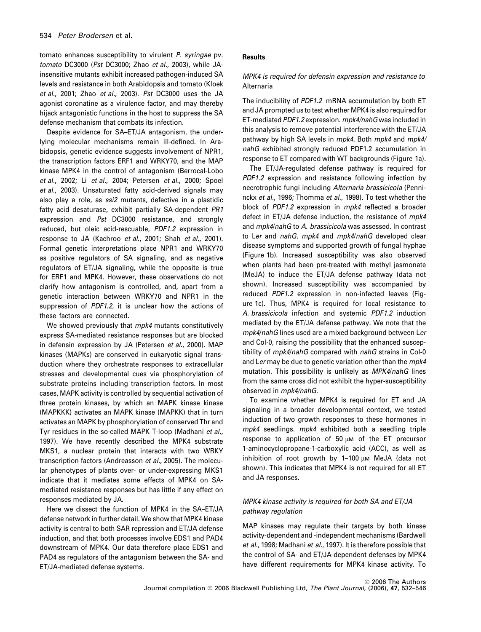tomato enhances susceptibility to virulent P. syringae pv. tomato DC3000 (Pst DC3000; Zhao et al., 2003), while JAinsensitive mutants exhibit increased pathogen-induced SA levels and resistance in both Arabidopsis and tomato (Kloek et al., 2001; Zhao et al., 2003). Pst DC3000 uses the JA agonist coronatine as a virulence factor, and may thereby hijack antagonistic functions in the host to suppress the SA defense mechanism that combats its infection.

Despite evidence for SA–ET/JA antagonism, the underlying molecular mechanisms remain ill-defined. In Arabidopsis, genetic evidence suggests involvement of NPR1, the transcription factors ERF1 and WRKY70, and the MAP kinase MPK4 in the control of antagonism (Berrocal-Lobo et al., 2002; Li et al., 2004; Petersen et al., 2000; Spoel et al., 2003). Unsaturated fatty acid-derived signals may also play a role, as ssi2 mutants, defective in a plastidic fatty acid desaturase, exhibit partially SA-dependent PR1 expression and Pst DC3000 resistance, and strongly reduced, but oleic acid-rescuable, PDF1.2 expression in response to JA (Kachroo et al., 2001; Shah et al., 2001). Formal genetic interpretations place NPR1 and WRKY70 as positive regulators of SA signaling, and as negative regulators of ET/JA signaling, while the opposite is true for ERF1 and MPK4. However, these observations do not clarify how antagonism is controlled, and, apart from a genetic interaction between WRKY70 and NPR1 in the suppression of PDF1.2, it is unclear how the actions of these factors are connected.

We showed previously that mpk4 mutants constitutively express SA-mediated resistance responses but are blocked in defensin expression by JA (Petersen et al., 2000). MAP kinases (MAPKs) are conserved in eukaryotic signal transduction where they orchestrate responses to extracellular stresses and developmental cues via phosphorylation of substrate proteins including transcription factors. In most cases, MAPK activity is controlled by sequential activation of three protein kinases, by which an MAPK kinase kinase (MAPKKK) activates an MAPK kinase (MAPKK) that in turn activates an MAPK by phosphorylation of conserved Thr and Tyr residues in the so-called MAPK T-loop (Madhani et al., 1997). We have recently described the MPK4 substrate MKS1, a nuclear protein that interacts with two WRKY transcription factors (Andreasson et al., 2005). The molecular phenotypes of plants over- or under-expressing MKS1 indicate that it mediates some effects of MPK4 on SAmediated resistance responses but has little if any effect on responses mediated by JA.

Here we dissect the function of MPK4 in the SA–ET/JA defense network in further detail. We show that MPK4 kinase activity is central to both SAR repression and ET/JA defense induction, and that both processes involve EDS1 and PAD4 downstream of MPK4. Our data therefore place EDS1 and PAD4 as regulators of the antagonism between the SA- and ET/JA-mediated defense systems.

### **Results**

### MPK4 is required for defensin expression and resistance to Alternaria

The inducibility of PDF1.2 mRNA accumulation by both ET and JA prompted us to test whether MPK4 is also required for ET-mediated PDF1.2 expression. mpk4/nahG was included in this analysis to remove potential interference with the ET/JA pathway by high SA levels in mpk4. Both mpk4 and mpk4/ nahG exhibited strongly reduced PDF1.2 accumulation in response to ET compared with WT backgrounds (Figure 1a).

The ET/JA-regulated defense pathway is required for PDF1.2 expression and resistance following infection by necrotrophic fungi including Alternaria brassicicola (Penninckx et al., 1996; Thomma et al., 1998). To test whether the block of PDF1.2 expression in mpk4 reflected a broader defect in ET/JA defense induction, the resistance of mpk4 and mpk4/nahG to A. brassicicola was assessed. In contrast to Ler and nahG, mpk4 and mpk4/nahG developed clear disease symptoms and supported growth of fungal hyphae (Figure 1b). Increased susceptibility was also observed when plants had been pre-treated with methyl jasmonate (MeJA) to induce the ET/JA defense pathway (data not shown). Increased susceptibility was accompanied by reduced PDF1.2 expression in non-infected leaves (Figure 1c). Thus, MPK4 is required for local resistance to A. brassicicola infection and systemic PDF1.2 induction mediated by the ET/JA defense pathway. We note that the mpk4/nahG lines used are a mixed background between Ler and Col-0, raising the possibility that the enhanced susceptibility of mpk4/nahG compared with nahG strains in Col-0 and Ler may be due to genetic variation other than the mpk4 mutation. This possibility is unlikely as MPK4/nahG lines from the same cross did not exhibit the hyper-susceptibility observed in mpk4/nahG.

To examine whether MPK4 is required for ET and JA signaling in a broader developmental context, we tested induction of two growth responses to these hormones in mpk4 seedlings. mpk4 exhibited both a seedling triple response to application of 50  $\mu$ M of the ET precursor 1-aminocyclopropane-1-carboxylic acid (ACC), as well as inhibition of root growth by  $1-100 \mu M$  MeJA (data not shown). This indicates that MPK4 is not required for all ET and JA responses.

# MPK4 kinase activity is required for both SA and ET/JA pathway regulation

MAP kinases may regulate their targets by both kinase activity-dependent and -independent mechanisms (Bardwell et al., 1998; Madhani et al., 1997). It is therefore possible that the control of SA- and ET/JA-dependent defenses by MPK4 have different requirements for MPK4 kinase activity. To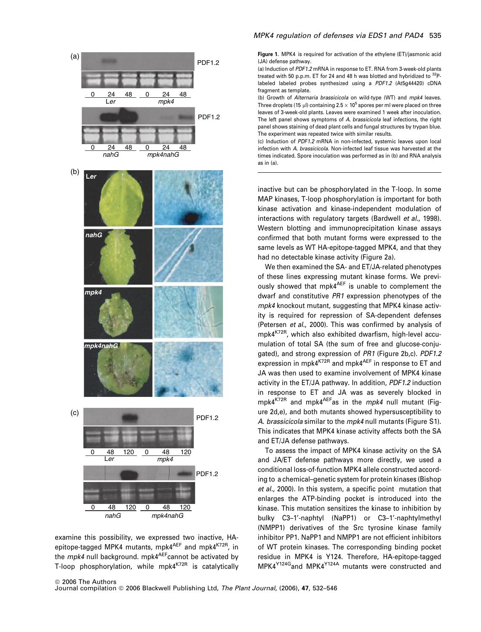

examine this possibility, we expressed two inactive, HAepitope-tagged MPK4 mutants, mpk4<sup>AEF</sup> and mpk4<sup>K72R</sup>, in the mpk4 null background. mpk4<sup>AEF</sup>cannot be activated by T-loop phosphorylation, while mpk4<sup>K72R</sup> is catalytically

### MPK4 regulation of defenses via EDS1 and PAD4 535

Figure 1. MPK4 is required for activation of the ethylene (ET)/jasmonic acid (JA) defense pathway.

(a) Induction of PDF1.2 mRNA in response to ET. RNA from 3-week-old plants treated with 50 p.p.m. ET for 24 and 48 h was blotted and hybridized to  $^{32}P$ labeled labeled probes synthesized using a PDF1.2 (At5g44420) cDNA fragment as template.

(b) Growth of Alternaria brassicicola on wild-type (WT) and mpk4 leaves. Three droplets (15  $\mu$ l) containing 2.5  $\times$  10<sup>5</sup> spores per ml were placed on three leaves of 3-week-old plants. Leaves were examined 1 week after inoculation. The left panel shows symptoms of A. brassicicola leaf infections, the right panel shows staining of dead plant cells and fungal structures by trypan blue. The experiment was repeated twice with similar results.

(c) Induction of PDF1.2 mRNA in non-infected, systemic leaves upon local infection with A. brassicicola. Non-infected leaf tissue was harvested at the times indicated. Spore inoculation was performed as in (b) and RNA analysis as in (a).

inactive but can be phosphorylated in the T-loop. In some MAP kinases, T-loop phosphorylation is important for both kinase activation and kinase-independent modulation of interactions with regulatory targets (Bardwell et al., 1998). Western blotting and immunoprecipitation kinase assays confirmed that both mutant forms were expressed to the same levels as WT HA-epitope-tagged MPK4, and that they had no detectable kinase activity (Figure 2a).

We then examined the SA- and ET/JA-related phenotypes of these lines expressing mutant kinase forms. We previously showed that mpk4<sup>AEF</sup> is unable to complement the dwarf and constitutive PR1 expression phenotypes of the mpk4 knockout mutant, suggesting that MPK4 kinase activity is required for repression of SA-dependent defenses (Petersen et al., 2000). This was confirmed by analysis of mpk4K72R, which also exhibited dwarfism, high-level accumulation of total SA (the sum of free and glucose-conjugated), and strong expression of PR1 (Figure 2b,c). PDF1.2 expression in mpk4<sup>K72R</sup> and mpk4<sup>AEF</sup> in response to ET and JA was then used to examine involvement of MPK4 kinase activity in the ET/JA pathway. In addition, PDF1.2 induction in response to ET and JA was as severely blocked in mpk4<sup>K72R</sup> and mpk4<sup>AEF</sup>as in the *mpk4* null mutant (Figure 2d,e), and both mutants showed hypersusceptibility to A. brassicicola similar to the mpk4 null mutants (Figure S1). This indicates that MPK4 kinase activity affects both the SA and ET/JA defense pathways.

To assess the impact of MPK4 kinase activity on the SA and JA/ET defense pathways more directly, we used a conditional loss-of-function MPK4 allele constructed according to a chemical–genetic system for protein kinases (Bishop et al., 2000). In this system, a specific point mutation that enlarges the ATP-binding pocket is introduced into the kinase. This mutation sensitizes the kinase to inhibition by bulky C3–1'-naphtyl (NaPP1) or C3–1'-naphtylmethyl (NMPP1) derivatives of the Src tyrosine kinase family inhibitor PP1. NaPP1 and NMPP1 are not efficient inhibitors of WT protein kinases. The corresponding binding pocket residue in MPK4 is Y124. Therefore, HA-epitope-tagged MPK4<sup>Y124G</sup>and MPK4<sup>Y124A</sup> mutants were constructed and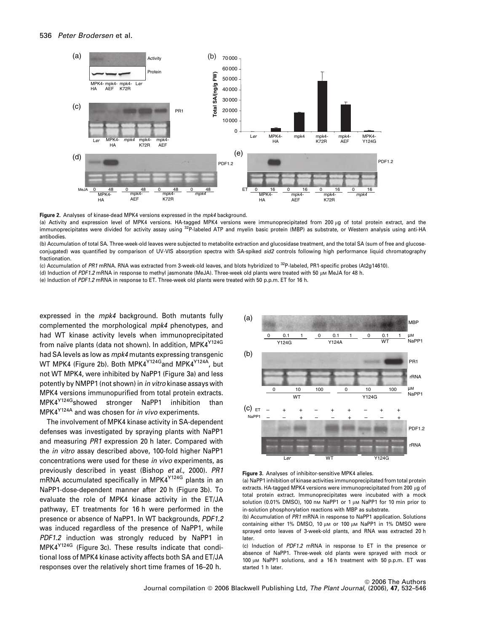

Figure 2. Analyses of kinase-dead MPK4 versions expressed in the mpk4 background.

(a) Activity and expression level of MPK4 versions. HA-tagged MPK4 versions were immunoprecipitated from 200 µg of total protein extract, and the immunoprecipitates were divided for activity assay using <sup>32</sup>P-labeled ATP and myelin basic protein (MBP) as substrate, or Western analysis using anti-HA antibodies.

(b) Accumulation of total SA. Three-week-old leaves were subjected to metabolite extraction and glucosidase treatment, and the total SA (sum of free and glucoseconjugated) was quantified by comparison of UV-VIS absorption spectra with SA-spiked sid2 controls following high performance liquid chromatography fractionation.

(c) Accumulation of PR1 mRNA. RNA was extracted from 3-week-old leaves, and blots hybridized to <sup>32</sup>P-labeled, PR1-specific probes (At2g14610).

(d) Induction of PDF1.2 mRNA in response to methyl jasmonate (MeJA). Three-week old plants were treated with 50 µm MeJA for 48 h.

(e) Induction of PDF1.2 mRNA in response to ET. Three-week old plants were treated with 50 p.p.m. ET for 16 h.

expressed in the *mpk4* background. Both mutants fully complemented the morphological mpk4 phenotypes, and had WT kinase activity levels when immunoprecipitated from naïve plants (data not shown). In addition, MPK4<sup>Y124G</sup> had SA levels as low as mpk4 mutants expressing transgenic WT MPK4 (Figure 2b). Both MPK4Y124Gand MPK4Y124A, but not WT MPK4, were inhibited by NaPP1 (Figure 3a) and less potently by NMPP1 (not shown) in in vitro kinase assays with MPK4 versions immunopurified from total protein extracts. MPK4Y124Gshowed stronger NaPP1 inhibition than MPK4Y124A and was chosen for in vivo experiments.

The involvement of MPK4 kinase activity in SA-dependent defenses was investigated by spraying plants with NaPP1 and measuring PR1 expression 20 h later. Compared with the in vitro assay described above, 100-fold higher NaPP1 concentrations were used for these in vivo experiments, as previously described in yeast (Bishop et al., 2000). PR1 mRNA accumulated specifically in MPK4Y124G plants in an NaPP1-dose-dependent manner after 20 h (Figure 3b). To evaluate the role of MPK4 kinase activity in the ET/JA pathway, ET treatments for 16 h were performed in the presence or absence of NaPP1. In WT backgrounds, PDF1.2 was induced regardless of the presence of NaPP1, while PDF1.2 induction was strongly reduced by NaPP1 in MPK4Y124G (Figure 3c). These results indicate that conditional loss of MPK4 kinase activity affects both SA and ET/JA responses over the relatively short time frames of 16–20 h.





(a) NaPP1 inhibition of kinase activities immunoprecipitated from total protein extracts. HA-tagged MPK4 versions were immunoprecipitated from 200 µg of total protein extract. Immunoprecipitates were incubated with a mock solution (0.01% DMSO), 100 nM NaPP1 or 1  $\mu$ M NaPP1 for 10 min prior to in-solution phosphorylation reactions with MBP as substrate.

(b) Accumulation of PR1 mRNA in response to NaPP1 application. Solutions containing either 1% DMSO, 10 μM or 100 μM NaPP1 in 1% DMSO were sprayed onto leaves of 3-week-old plants, and RNA was extracted 20 h later.

(c) Induction of PDF1.2 mRNA in response to ET in the presence or absence of NaPP1. Three-week old plants were sprayed with mock or 100 μm NaPP1 solutions, and a 16 h treatment with 50 p.p.m. ET was started 1 h later.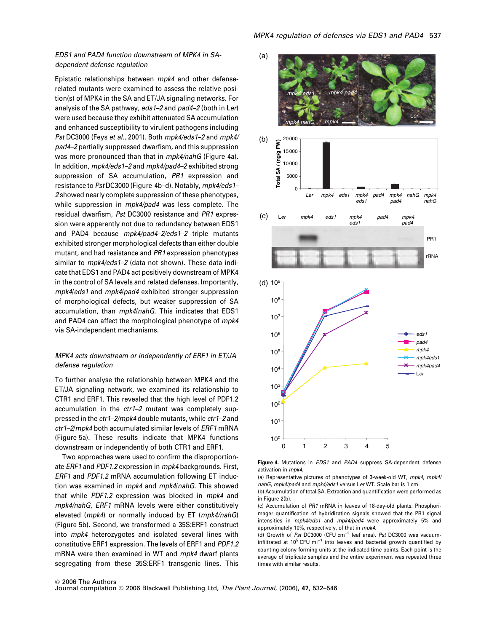# EDS1 and PAD4 function downstream of MPK4 in SAdependent defense regulation

Epistatic relationships between mpk4 and other defenserelated mutants were examined to assess the relative position(s) of MPK4 in the SA and ET/JA signaling networks. For analysis of the SA pathway, eds 1-2 and pad4-2 (both in Ler) were used because they exhibit attenuated SA accumulation and enhanced susceptibility to virulent pathogens including Pst DC3000 (Feys et al., 2001). Both mpk4/eds1-2 and mpk4/ pad4–2 partially suppressed dwarfism, and this suppression was more pronounced than that in mpk4/nahG (Figure 4a). In addition, mpk4/eds1–2 and mpk4/pad4–2 exhibited strong suppression of SA accumulation, PR1 expression and resistance to Pst DC3000 (Figure 4b–d). Notably, mpk4/eds1– 2 showed nearly complete suppression of these phenotypes, while suppression in mpk4/pad4 was less complete. The residual dwarfism, Pst DC3000 resistance and PR1 expression were apparently not due to redundancy between EDS1 and PAD4 because mpk4/pad4-2/eds1-2 triple mutants exhibited stronger morphological defects than either double mutant, and had resistance and PR1 expression phenotypes similar to *mpk4/eds1-2* (data not shown). These data indicate that EDS1 and PAD4 act positively downstream of MPK4 in the control of SA levels and related defenses. Importantly, mpk4/eds1 and mpk4/pad4 exhibited stronger suppression of morphological defects, but weaker suppression of SA accumulation, than mpk4/nahG. This indicates that EDS1 and PAD4 can affect the morphological phenotype of mpk4 via SA-independent mechanisms.

# MPK4 acts downstream or independently of ERF1 in ET/JA defense regulation

To further analyse the relationship between MPK4 and the ET/JA signaling network, we examined its relationship to CTR1 and ERF1. This revealed that the high level of PDF1.2 accumulation in the ctr1–2 mutant was completely suppressed in the ctr1–2/mpk4 double mutants, while ctr1–2 and ctr1–2/mpk4 both accumulated similar levels of ERF1 mRNA (Figure 5a). These results indicate that MPK4 functions downstream or independently of both CTR1 and ERF1.

Two approaches were used to confirm the disproportionate ERF1 and PDF1.2 expression in mpk4 backgrounds. First, ERF1 and PDF1.2 mRNA accumulation following ET induction was examined in mpk4 and mpk4/nahG. This showed that while PDF1.2 expression was blocked in mpk4 and mpk4/nahG, ERF1 mRNA levels were either constitutively elevated (mpk4) or normally induced by ET (mpk4/nahG) (Figure 5b). Second, we transformed a 35S:ERF1 construct into mpk4 heterozygotes and isolated several lines with constitutive ERF1 expression. The levels of ERF1 and PDF1.2 mRNA were then examined in WT and mpk4 dwarf plants segregating from these 35S:ERF1 transgenic lines. This



Figure 4. Mutations in EDS1 and PAD4 suppress SA-dependent defense activation in mpk4.

(a) Representative pictures of phenotypes of 3-week-old WT, mpk4, mpk4/ nahG, mpk4/pad4 and mpk4/eds1 versus Ler WT. Scale bar is 1 cm.

(b) Accumulation of total SA. Extraction and quantification were performed as in Figure 2(b).

(c) Accumulation of PR1 mRNA in leaves of 18-day-old plants. Phosphorimager quantification of hybridization signals showed that the PR1 signal intensities in *mpk4/eds1* and *mpk4/pad4* were approximately 5% and approximately 10%, respectively, of that in mpk4.

(d) Growth of Pst DC3000 (CFU cm $^{-2}$  leaf area). Pst DC3000 was vacuuminfiltrated at  $10^5$  CFU ml<sup>-1</sup> into leaves and bacterial growth quantified by counting colony-forming units at the indicated time points. Each point is the average of triplicate samples and the entire experiment was repeated three times with similar results.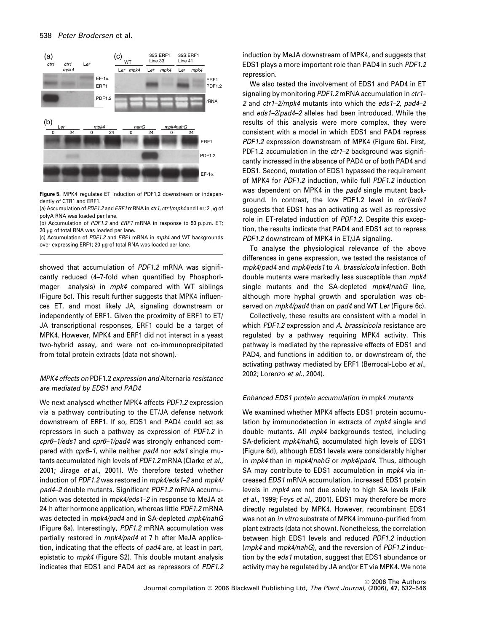

Figure 5. MPK4 regulates ET induction of PDF1.2 downstream or independently of CTR1 and ERF1.

(a) Accumulation of PDF1.2 and ERF1 mRNA in ctr1, ctr1/mpk4 and Ler; 2  $\mu$ g of polyA RNA was loaded per lane.

(b) Accumulation of PDF1.2 and ERF1 mRNA in response to 50 p.p.m. ET; 20 ug of total RNA was loaded per lane.

(c) Accumulation of PDF1.2 and ERF1 mRNA in mpk4 and WT backgrounds over-expressing ERF1; 20 μg of total RNA was loaded per lane.

showed that accumulation of PDF1.2 mRNA was significantly reduced (4–7-fold when quantified by PhosphorImager analysis) in mpk4 compared with WT siblings (Figure 5c). This result further suggests that MPK4 influences ET, and most likely JA, signaling downstream or independently of ERF1. Given the proximity of ERF1 to ET/ JA transcriptional responses, ERF1 could be a target of MPK4. However, MPK4 and ERF1 did not interact in a yeast two-hybrid assay, and were not co-immunoprecipitated from total protein extracts (data not shown).

# MPK4 effects on PDF1.2 expression and Alternaria resistance are mediated by EDS1 and PAD4

We next analysed whether MPK4 affects PDF1.2 expression via a pathway contributing to the ET/JA defense network downstream of ERF1. If so, EDS1 and PAD4 could act as repressors in such a pathway as expression of PDF1.2 in cpr6–1/eds1 and cpr6–1/pad4 was strongly enhanced compared with cpr6-1, while neither pad4 nor eds1 single mutants accumulated high levels of PDF1.2 mRNA (Clarke et al., 2001; Jirage et al., 2001). We therefore tested whether induction of PDF1.2 was restored in mpk4/eds1–2 and mpk4/ pad4–2 double mutants. Significant PDF1.2 mRNA accumulation was detected in mpk4/eds1-2 in response to MeJA at 24 h after hormone application, whereas little PDF1.2 mRNA was detected in mpk4/pad4 and in SA-depleted mpk4/nahG (Figure 6a). Interestingly, PDF1.2 mRNA accumulation was partially restored in mpk4/pad4 at 7 h after MeJA application, indicating that the effects of pad4 are, at least in part, epistatic to mpk4 (Figure S2). This double mutant analysis indicates that EDS1 and PAD4 act as repressors of PDF1.2 induction by MeJA downstream of MPK4, and suggests that EDS1 plays a more important role than PAD4 in such PDF1.2 repression.

We also tested the involvement of EDS1 and PAD4 in ET signaling by monitoring PDF1.2 mRNA accumulation in ctr1-2 and ctr1–2/mpk4 mutants into which the eds1–2, pad4–2 and eds1–2/pad4–2 alleles had been introduced. While the results of this analysis were more complex, they were consistent with a model in which EDS1 and PAD4 repress PDF1.2 expression downstream of MPK4 (Figure 6b). First, PDF1.2 accumulation in the ctr1-2 background was significantly increased in the absence of PAD4 or of both PAD4 and EDS1. Second, mutation of EDS1 bypassed the requirement of MPK4 for PDF1.2 induction, while full PDF1.2 induction was dependent on MPK4 in the pad4 single mutant background. In contrast, the low PDF1.2 level in ctr1/eds1 suggests that EDS1 has an activating as well as repressive role in ET-related induction of PDF1.2. Despite this exception, the results indicate that PAD4 and EDS1 act to repress PDF1.2 downstream of MPK4 in ET/JA signaling.

To analyse the physiological relevance of the above differences in gene expression, we tested the resistance of mpk4/pad4 and mpk4/eds1 to A. brassicicola infection. Both double mutants were markedly less susceptible than mpk4 single mutants and the SA-depleted *mpk4/nahG* line, although more hyphal growth and sporulation was observed on mpk4/pad4 than on pad4 and WT Ler (Figure 6c).

Collectively, these results are consistent with a model in which PDF1.2 expression and A. brassicicola resistance are regulated by a pathway requiring MPK4 activity. This pathway is mediated by the repressive effects of EDS1 and PAD4, and functions in addition to, or downstream of, the activating pathway mediated by ERF1 (Berrocal-Lobo et al., 2002; Lorenzo et al., 2004).

### Enhanced EDS1 protein accumulation in mpk4 mutants

We examined whether MPK4 affects EDS1 protein accumulation by immunodetection in extracts of mpk4 single and double mutants. All mpk4 backgrounds tested, including SA-deficient mpk4/nahG, accumulated high levels of EDS1 (Figure 6d), although EDS1 levels were considerably higher in mpk4 than in mpk4/nahG or mpk4/pad4. Thus, although SA may contribute to EDS1 accumulation in mpk4 via increased EDS1 mRNA accumulation, increased EDS1 protein levels in mpk4 are not due solely to high SA levels (Falk et al., 1999; Feys et al., 2001). EDS1 may therefore be more directly regulated by MPK4. However, recombinant EDS1 was not an in vitro substrate of MPK4 immuno-purified from plant extracts (data not shown). Nonetheless, the correlation between high EDS1 levels and reduced PDF1.2 induction (mpk4 and mpk4/nahG), and the reversion of PDF1.2 induction by the *eds1* mutation, suggest that EDS1 abundance or activity may be regulated by JA and/or ET via MPK4. We note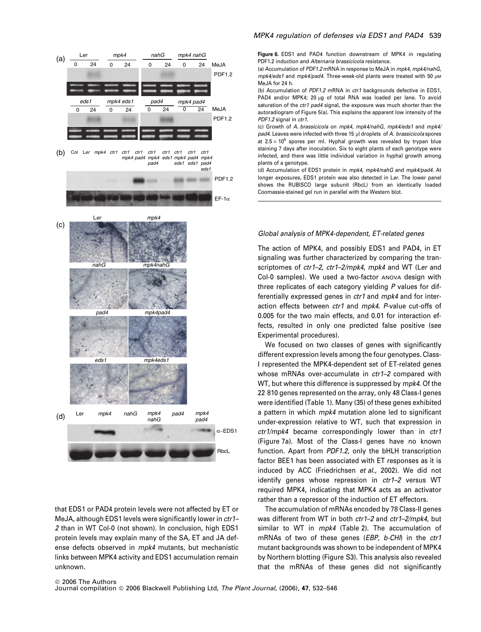

that EDS1 or PAD4 protein levels were not affected by ET or MeJA, although EDS1 levels were significantly lower in ctr1-2 than in WT Col-0 (not shown). In conclusion, high EDS1 protein levels may explain many of the SA, ET and JA defense defects observed in mpk4 mutants, but mechanistic links between MPK4 activity and EDS1 accumulation remain unknown.

### MPK4 regulation of defenses via EDS1 and PAD4 539

Figure 6. EDS1 and PAD4 function downstream of MPK4 in regulating PDF1.2 induction and Alternaria brassicicola resistance.

(a) Accumulation of PDF1.2 mRNA in response to MeJA in mpk4, mpk4/nahG,  $mpk4/eds1$  and  $mpk4/pad4$ . Three-week-old plants were treated with 50  $µM$ MeJA for 24 h.

(b) Accumulation of PDF1.2 mRNA in ctr1 backgrounds defective in EDS1, PAD4 and/or MPK4; 20  $\mu$ g of total RNA was loaded per lane. To avoid saturation of the ctr1 pad4 signal, the exposure was much shorter than the autoradiogram of Figure 5(a). This explains the apparent low intensity of the PDF1.2 signal in ctr1.

(c) Growth of A. brassicicola on mpk4, mpk4/nahG, mpk4/eds1 and mpk4/  $pad4.$  Leaves were infected with three 15  $µ$ l droplets of A. brassicicola spores at  $2.5 \times 10^5$  spores per ml. Hyphal growth was revealed by trypan blue staining 7 days after inoculation. Six to eight plants of each genotype were infected, and there was little individual variation in hyphal growth among plants of a genotype.

(d) Accumulation of EDS1 protein in mpk4, mpk4/nahG and mpk4/pad4. At longer exposures, EDS1 protein was also detected in Ler. The lower panel shows the RUBISCO large subunit (RbcL) from an identically loaded Coomassie-stained gel run in parallel with the Western blot.

### Global analysis of MPK4-dependent, ET-related genes

The action of MPK4, and possibly EDS1 and PAD4, in ET signaling was further characterized by comparing the transcriptomes of ctr1-2, ctr1-2/mpk4, mpk4 and WT (Ler and Col-0 samples). We used a two-factor ANOVA design with three replicates of each category yielding P values for differentially expressed genes in *ctr1* and mpk4 and for interaction effects between ctr1 and mpk4. P-value cut-offs of 0.005 for the two main effects, and 0.01 for interaction effects, resulted in only one predicted false positive (see Experimental procedures).

We focused on two classes of genes with significantly different expression levels among the four genotypes. Class-I represented the MPK4-dependent set of ET-related genes whose mRNAs over-accumulate in ctr1-2 compared with WT, but where this difference is suppressed by mpk4. Of the 22 810 genes represented on the array, only 48 Class-I genes were identified (Table 1). Many (35) of these genes exhibited a pattern in which *mpk4* mutation alone led to significant under-expression relative to WT, such that expression in  $ctr1/m$ pk4 became correspondingly lower than in  $ctr1$ (Figure 7a). Most of the Class-I genes have no known function. Apart from PDF1.2, only the bHLH transcription factor BEE1 has been associated with ET responses as it is induced by ACC (Friedrichsen et al., 2002). We did not identify genes whose repression in ctr1–2 versus WT required MPK4, indicating that MPK4 acts as an activator rather than a repressor of the induction of ET effectors.

The accumulation of mRNAs encoded by 78 Class-II genes was different from WT in both ctr1-2 and ctr1-2/mpk4, but similar to WT in *mpk4* (Table 2). The accumulation of mRNAs of two of these genes (EBP, b-CHI) in the ctr1 mutant backgrounds was shown to be independent of MPK4 by Northern blotting (Figure S3). This analysis also revealed that the mRNAs of these genes did not significantly

#### <sup>©</sup> 2006 The Authors Journal compilation © 2006 Blackwell Publishing Ltd, The Plant Journal, (2006), 47, 532-546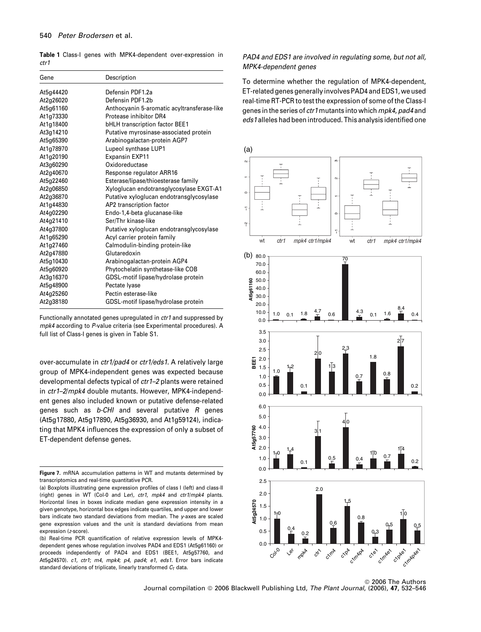Table 1 Class-I genes with MPK4-dependent over-expression in ctr1

| Gene      | Description                                 |
|-----------|---------------------------------------------|
| At5g44420 | Defensin PDF1.2a                            |
| At2g26020 | Defensin PDF1.2b                            |
| At5g61160 | Anthocyanin 5-aromatic acyltransferase-like |
| At1g73330 | Protease inhibitor DR4                      |
| At1g18400 | <b>bHLH transcription factor BEE1</b>       |
| At3g14210 | Putative myrosinase-associated protein      |
| At5g65390 | Arabinogalactan-protein AGP7                |
| At1g78970 | Lupeol synthase LUP1                        |
| At1g20190 | <b>Expansin EXP11</b>                       |
| At3q60290 | Oxidoreductase                              |
| At2g40670 | Response regulator ARR16                    |
| At5g22460 | Esterase/lipase/thioesterase family         |
| At2g06850 | Xyloglucan endotransglycosylase EXGT-A1     |
| At2g36870 | Putative xyloglucan endotransglycosylase    |
| At1g44830 | AP2 transcription factor                    |
| At4g02290 | Endo-1,4-beta glucanase-like                |
| At4g21410 | Ser/Thr kinase-like                         |
| At4g37800 | Putative xyloglucan endotransglycosylase    |
| At1g65290 | Acyl carrier protein family                 |
| At1g27460 | Calmodulin-binding protein-like             |
| At2g47880 | Glutaredoxin                                |
| At5g10430 | Arabinogalactan-protein AGP4                |
| At5g60920 | Phytochelatin synthetase-like COB           |
| At3g16370 | GDSL-motif lipase/hydrolase protein         |
| At5g48900 | Pectate Ivase                               |
| At4g25260 | Pectin esterase-like                        |
| At2g38180 | GDSL-motif lipase/hydrolase protein         |

Functionally annotated genes upregulated in ctr1 and suppressed by mpk4 according to P-value criteria (see Experimental procedures). A full list of Class-I genes is given in Table S1.

over-accumulate in ctr1/pad4 or ctr1/eds1. A relatively large group of MPK4-independent genes was expected because developmental defects typical of ctr1–2 plants were retained in ctr1–2/mpk4 double mutants. However, MPK4-independent genes also included known or putative defense-related genes such as  $b$ -CHI and several putative  $R$  genes (At5g17880, At5g17890, At5g36930, and At1g59124), indicating that MPK4 influences the expression of only a subset of ET-dependent defense genes.

# PAD4 and EDS1 are involved in regulating some, but not all, MPK4-dependent genes

To determine whether the regulation of MPK4-dependent, ET-related genes generally involves PAD4 and EDS1, we used real-time RT-PCR to test the expression of some of the Class-I genes in the series of ctr1 mutants into which mpk4, pad4 and eds1 alleles had been introduced. This analysis identified one



<sup>©</sup> 2006 The Authors Journal compilation © 2006 Blackwell Publishing Ltd, The Plant Journal, (2006), 47, 532-546

Figure 7. mRNA accumulation patterns in WT and mutants determined by transcriptomics and real-time quantitative PCR.

<sup>(</sup>a) Boxplots illustrating gene expression profiles of class I (left) and class-II (right) genes in WT (Col-0 and Ler), ctr1, mpk4 and ctr1/mpk4 plants. Horizontal lines in boxes indicate median gene expression intensity in a given genotype, horizontal box edges indicate quartiles, and upper and lower bars indicate two standard deviations from median. The y-axes are scaled gene expression values and the unit is standard deviations from mean expression (z-score).

<sup>(</sup>b) Real-time PCR quantification of relative expression levels of MPK4 dependent genes whose regulation involves PAD4 and EDS1 (At5g61160) or proceeds independently of PAD4 and EDS1 (BEE1, At5g57760, and At5g24570). c1, ctr1; m4, mpk4; p4, pad4; e1, eds1. Error bars indicate standard deviations of triplicate, linearly transformed  $C<sub>T</sub>$  data.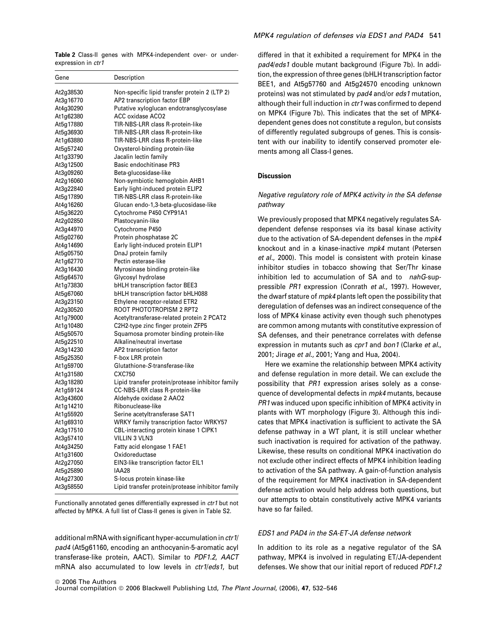Table 2 Class-II genes with MPK4-independent over- or underexpression in ctr1

| Gene                   | Description                                                |
|------------------------|------------------------------------------------------------|
| At2g38530              | Non-specific lipid transfer protein 2 (LTP 2)              |
| At3g16770              | AP2 transcription factor EBP                               |
| At4g30290              | Putative xyloglucan endotransglycosylase                   |
| At1g62380              | <b>ACC oxidase ACO2</b>                                    |
| At5g17880              | TIR-NBS-LRR class R-protein-like                           |
| At5g36930              | TIR-NBS-LRR class R-protein-like                           |
| At1g63880              | TIR-NBS-LRR class R-protein-like                           |
| At5g57240              | Oxysterol-binding protein-like                             |
| At1g33790              | Jacalin lectin family                                      |
| At3g12500              | <b>Basic endochitinase PR3</b>                             |
| At3g09260              | Beta-glucosidase-like                                      |
| At2g16060              | Non-symbiotic hemoglobin AHB1                              |
| At3g22840              | Early light-induced protein ELIP2                          |
| At5g17890              | TIR-NBS-LRR class R-protein-like                           |
| At4g16260              | Glucan endo-1,3-beta-glucosidase-like                      |
| At5g36220              | Cytochrome P450 CYP91A1                                    |
| At2g02850              | Plastocyanin-like                                          |
| At3g44970              | Cytochrome P450                                            |
| At5g02760              | Protein phosphatase 2C                                     |
| At4g14690              | Early light-induced protein ELIP1                          |
| At5g05750              | DnaJ protein family                                        |
| At1g62770              | Pectin esterase-like                                       |
| At3g16430              | Myrosinase binding protein-like                            |
| At5g64570              | Glycosyl hydrolase                                         |
| At1g73830              | <b>bHLH transcription factor BEE3</b>                      |
| At5g67060              | bHLH transcription factor bHLH088                          |
| At3g23150              | Ethylene receptor-related ETR2<br>ROOT PHOTOTROPISM 2 RPT2 |
| At2g30520<br>At1g79000 | Acetyltransferase-related protein 2 PCAT2                  |
| At1g10480              | C2H2-type zinc finger protein ZFP5                         |
| At5g50570              | Squamosa promoter binding protein-like                     |
| At5g22510              | Alkaline/neutral invertase                                 |
| At3g14230              | AP2 transcription factor                                   |
| At5g25350              | F-box LRR protein                                          |
| At1g59700              | Glutathione-S-transferase-like                             |
| At1g31580              | CXC750                                                     |
| At3g18280              | Lipid transfer protein/protease inhibitor family           |
| At1g59124              | CC-NBS-LRR class R-protein-like                            |
| At3g43600              | Aldehyde oxidase 2 AAO2                                    |
| At1g14210              | Ribonuclease-like                                          |
| At1g55920              | Serine acetyltransferase SAT1                              |
| At1g69310              | WRKY family transcription factor WRKY57                    |
| At3g17510              | CBL-interacting protein kinase 1 CIPK1                     |
| At3g57410              | <b>VILLIN 3 VLN3</b>                                       |
| At4g34250              | Fatty acid elongase 1 FAE1                                 |
| At1g31600              | Oxidoreductase                                             |
| At2g27050              | EIN3-like transcription factor EIL1                        |
| At5g25890              | IAA28                                                      |
| At4g27300              | S-locus protein kinase-like                                |
| At3g58550              | Lipid transfer protein/protease inhibitor family           |

### Functionally annotated genes differentially expressed in ctr1 but not affected by MPK4. A full list of Class-II genes is given in Table S2.

additional mRNA with significant hyper-accumulation in ctr1/ pad4 (At5g61160, encoding an anthocyanin-5-aromatic acyl transferase-like protein, AACT). Similar to PDF1.2, AACT mRNA also accumulated to low levels in *ctr1/eds1*, but differed in that it exhibited a requirement for MPK4 in the pad4/eds1 double mutant background (Figure 7b). In addition, the expression of three genes (bHLH transcription factor BEE1, and At5g57760 and At5g24570 encoding unknown proteins) was not stimulated by pad4 and/or eds1 mutation, although their full induction in ctr1 was confirmed to depend on MPK4 (Figure 7b). This indicates that the set of MPK4 dependent genes does not constitute a regulon, but consists of differently regulated subgroups of genes. This is consistent with our inability to identify conserved promoter elements among all Class-I genes.

# Discussion

# Negative regulatory role of MPK4 activity in the SA defense pathway

We previously proposed that MPK4 negatively regulates SAdependent defense responses via its basal kinase activity due to the activation of SA-dependent defenses in the mpk4 knockout and in a kinase-inactive mpk4 mutant (Petersen et al., 2000). This model is consistent with protein kinase inhibitor studies in tobacco showing that Ser/Thr kinase inhibition led to accumulation of SA and to nahG-suppressible PR1 expression (Conrath et al., 1997). However, the dwarf stature of mpk4 plants left open the possibility that deregulation of defenses was an indirect consequence of the loss of MPK4 kinase activity even though such phenotypes are common among mutants with constitutive expression of SA defenses, and their penetrance correlates with defense expression in mutants such as cpr1 and bon1 (Clarke et al., 2001; Jirage et al., 2001; Yang and Hua, 2004).

Here we examine the relationship between MPK4 activity and defense regulation in more detail. We can exclude the possibility that PR1 expression arises solely as a consequence of developmental defects in mpk4 mutants, because PR1 was induced upon specific inhibition of MPK4 activity in plants with WT morphology (Figure 3). Although this indicates that MPK4 inactivation is sufficient to activate the SA defense pathway in a WT plant, it is still unclear whether such inactivation is required for activation of the pathway. Likewise, these results on conditional MPK4 inactivation do not exclude other indirect effects of MPK4 inhibition leading to activation of the SA pathway. A gain-of-function analysis of the requirement for MPK4 inactivation in SA-dependent defense activation would help address both questions, but our attempts to obtain constitutively active MPK4 variants have so far failed.

# EDS1 and PAD4 in the SA-ET-JA defense network

In addition to its role as a negative regulator of the SA pathway, MPK4 is involved in regulating ET/JA-dependent defenses. We show that our initial report of reduced PDF1.2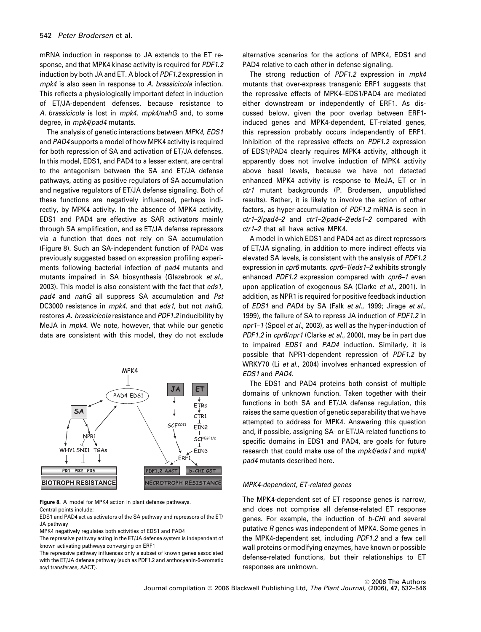mRNA induction in response to JA extends to the ET response, and that MPK4 kinase activity is required for PDF1.2 induction by both JA and ET. A block of PDF1.2 expression in mpk4 is also seen in response to A. brassicicola infection. This reflects a physiologically important defect in induction of ET/JA-dependent defenses, because resistance to A. brassicicola is lost in mpk4, mpk4/nahG and, to some degree, in *mpk4/pad4* mutants.

The analysis of genetic interactions between MPK4, EDS1 and PAD4 supports a model of how MPK4 activity is required for both repression of SA and activation of ET/JA defenses. In this model, EDS1, and PAD4 to a lesser extent, are central to the antagonism between the SA and ET/JA defense pathways, acting as positive regulators of SA accumulation and negative regulators of ET/JA defense signaling. Both of these functions are negatively influenced, perhaps indirectly, by MPK4 activity. In the absence of MPK4 activity, EDS1 and PAD4 are effective as SAR activators mainly through SA amplification, and as ET/JA defense repressors via a function that does not rely on SA accumulation (Figure 8). Such an SA-independent function of PAD4 was previously suggested based on expression profiling experiments following bacterial infection of pad4 mutants and mutants impaired in SA biosynthesis (Glazebrook et al., 2003). This model is also consistent with the fact that eds1. pad4 and nahG all suppress SA accumulation and Pst DC3000 resistance in mpk4, and that eds1, but not nahG, restores A. brassicicola resistance and PDF1.2 inducibility by MeJA in mpk4. We note, however, that while our genetic data are consistent with this model, they do not exclude



Figure 8. A model for MPK4 action in plant defense pathways. Central points include:

EDS1 and PAD4 act as activators of the SA pathway and repressors of the ET/ JA pathway

MPK4 negatively regulates both activities of EDS1 and PAD4

The repressive pathway acting in the ET/JA defense system is independent of known activating pathways converging on ERF1

The repressive pathway influences only a subset of known genes associated with the ET/JA defense pathway (such as PDF1.2 and anthocyanin-5-aromatic acyl transferase, AACT).

alternative scenarios for the actions of MPK4, EDS1 and PAD4 relative to each other in defense signaling.

The strong reduction of PDF1.2 expression in mpk4 mutants that over-express transgenic ERF1 suggests that the repressive effects of MPK4–EDS1/PAD4 are mediated either downstream or independently of ERF1. As discussed below, given the poor overlap between ERF1 induced genes and MPK4-dependent, ET-related genes, this repression probably occurs independently of ERF1. Inhibition of the repressive effects on PDF1.2 expression of EDS1/PAD4 clearly requires MPK4 activity, although it apparently does not involve induction of MPK4 activity above basal levels, because we have not detected enhanced MPK4 activity is response to MeJA, ET or in ctr1 mutant backgrounds (P. Brodersen, unpublished results). Rather, it is likely to involve the action of other factors, as hyper-accumulation of PDF1.2 mRNA is seen in ctr1–2/pad4–2 and ctr1–2/pad4–2/eds1–2 compared with ctr1–2 that all have active MPK4.

A model in which EDS1 and PAD4 act as direct repressors of ET/JA signaling, in addition to more indirect effects via elevated SA levels, is consistent with the analysis of PDF1.2 expression in *cpr6* mutants. *cpr6–1/eds1–2* exhibits strongly enhanced PDF1.2 expression compared with cpr6-1 even upon application of exogenous SA (Clarke et al., 2001). In addition, as NPR1 is required for positive feedback induction of EDS1 and PAD4 by SA (Falk et al., 1999; Jirage et al., 1999), the failure of SA to repress JA induction of PDF1.2 in npr1–1 (Spoel et al., 2003), as well as the hyper-induction of PDF1.2 in cpr6/npr1 (Clarke et al., 2000), may be in part due to impaired EDS1 and PAD4 induction. Similarly, it is possible that NPR1-dependent repression of PDF1.2 by WRKY70 (Li et al., 2004) involves enhanced expression of EDS1 and PAD4.

The EDS1 and PAD4 proteins both consist of multiple domains of unknown function. Taken together with their functions in both SA and ET/JA defense regulation, this raises the same question of genetic separability that we have attempted to address for MPK4. Answering this question and, if possible, assigning SA- or ET/JA-related functions to specific domains in EDS1 and PAD4, are goals for future research that could make use of the mpk4/eds1 and mpk4/ pad4 mutants described here.

### MPK4-dependent, ET-related genes

The MPK4-dependent set of ET response genes is narrow, and does not comprise all defense-related ET response genes. For example, the induction of b-CHI and several putative R genes was independent of MPK4. Some genes in the MPK4-dependent set, including PDF1.2 and a few cell wall proteins or modifying enzymes, have known or possible defense-related functions, but their relationships to ET responses are unknown.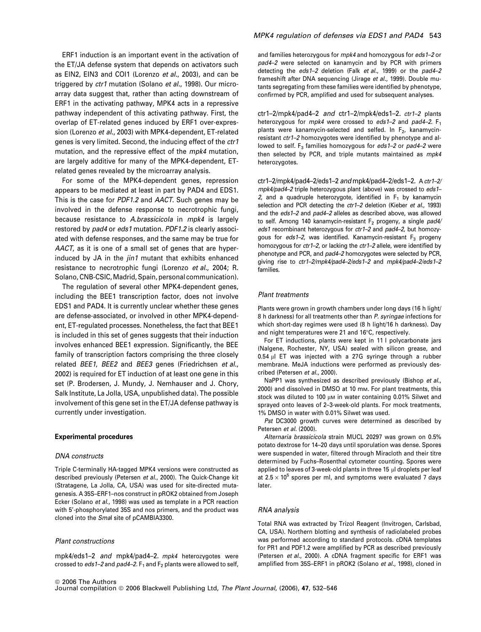ERF1 induction is an important event in the activation of the ET/JA defense system that depends on activators such as EIN2, EIN3 and COI1 (Lorenzo et al., 2003), and can be triggered by ctr1 mutation (Solano et al., 1998). Our microarray data suggest that, rather than acting downstream of ERF1 in the activating pathway, MPK4 acts in a repressive pathway independent of this activating pathway. First, the overlap of ET-related genes induced by ERF1 over-expression (Lorenzo et al., 2003) with MPK4-dependent, ET-related genes is very limited. Second, the inducing effect of the ctr1 mutation, and the repressive effect of the *mpk4* mutation, are largely additive for many of the MPK4-dependent, ETrelated genes revealed by the microarray analysis.

For some of the MPK4-dependent genes, repression appears to be mediated at least in part by PAD4 and EDS1. This is the case for PDF1.2 and AACT. Such genes may be involved in the defense response to necrotrophic fungi, because resistance to A.brassicicola in mpk4 is largely restored by pad4 or eds1 mutation. PDF1.2 is clearly associated with defense responses, and the same may be true for AACT, as it is one of a small set of genes that are hyperinduced by JA in the *jin1* mutant that exhibits enhanced resistance to necrotrophic fungi (Lorenzo et al., 2004; R. Solano, CNB-CSIC, Madrid, Spain, personal communication).

The regulation of several other MPK4-dependent genes, including the BEE1 transcription factor, does not involve EDS1 and PAD4. It is currently unclear whether these genes are defense-associated, or involved in other MPK4-dependent, ET-regulated processes. Nonetheless, the fact that BEE1 is included in this set of genes suggests that their induction involves enhanced BEE1 expression. Significantly, the BEE family of transcription factors comprising the three closely related BEE1, BEE2 and BEE3 genes (Friedrichsen et al., 2002) is required for ET induction of at least one gene in this set (P. Brodersen, J. Mundy, J. Nemhauser and J. Chory, Salk Institute, La Jolla, USA, unpublished data). The possible involvement of this gene set in the ET/JA defense pathway is currently under investigation.

### Experimental procedures

### DNA constructs

Triple C-terminally HA-tagged MPK4 versions were constructed as described previously (Petersen et al., 2000). The Quick-Change kit (Stratagene, La Jolla, CA, USA) was used for site-directed mutagenesis. A 35S–ERF1–nos construct in pROK2 obtained from Joseph Ecker (Solano et al., 1998) was used as template in a PCR reaction with 5'-phosphorylated 35S and nos primers, and the product was cloned into the Smal site of pCAMBIA3300.

### Plant constructions

mpk4/eds1–2 and mpk4/pad4–2. mpk4 heterozygotes were crossed to eds 1-2 and pad4-2.  $F_1$  and  $F_2$  plants were allowed to self,

### MPK4 regulation of defenses via EDS1 and PAD4 543

and families heterozygous for mpk4 and homozygous for eds1-2 or pad4–2 were selected on kanamycin and by PCR with primers detecting the eds1–2 deletion (Falk et al., 1999) or the pad4–2 frameshift after DNA sequencing (Jirage et al., 1999). Double mutants segregating from these families were identified by phenotype, confirmed by PCR, amplified and used for subsequent analyses.

ctr1–2/mpk4/pad4–2 and ctr1–2/mpk4/eds1–2. ctr1–2 plants heterozygous for  $mpk4$  were crossed to eds1-2 and pad4-2.  $F_1$ plants were kanamycin-selected and selfed. In  $F<sub>2</sub>$ , kanamycinresistant ctr1–2 homozygotes were identified by phenotype and allowed to self.  $F_3$  families homozygous for eds1-2 or pad4-2 were then selected by PCR, and triple mutants maintained as mpk4 heterozygotes.

ctr1–2/mpk4/pad4–2/eds1–2 and mpk4/pad4–2/eds1–2. A ctr1–2/ mpk4/pad4–2 triple heterozygous plant (above) was crossed to eds1– 2, and a quadruple heterozygote, identified in  $F_1$  by kanamycin selection and PCR detecting the ctr1-2 deletion (Kieber et al., 1993) and the eds1–2 and pad4–2 alleles as described above, was allowed to self. Among 140 kanamycin-resistant  $F_2$  progeny, a single pad4/ eds1 recombinant heterozygous for ctr1-2 and pad4-2, but homozygous for eds1-2, was identified. Kanamycin-resistant  $F_3$  progeny homozygous for ctr1-2, or lacking the ctr1-2 allele, were identified by phenotype and PCR, and pad4-2 homozygotes were selected by PCR, giving rise to ctr1–2/mpk4/pad4–2/eds1–2 and mpk4/pad4–2/eds1–2 families.

#### Plant treatments

Plants were grown in growth chambers under long days (16 h light/ 8 h darkness) for all treatments other than P. syringae infections for which short-day regimes were used (8 h light/16 h darkness). Day and night temperatures were 21 and 16°C, respectively.

For ET inductions, plants were kept in 11 l polycarbonate jars (Nalgene, Rochester, NY, USA) sealed with silicon grease, and  $0.54$  µl ET was injected with a 27G syringe through a rubber membrane. MeJA inductions were performed as previously described (Petersen et al., 2000).

NaPP1 was synthesized as described previously (Bishop et al., 2000) and dissolved in DMSO at 10 mm. For plant treatments, this stock was diluted to 100  $\mu$ m in water containing 0.01% Silwet and sprayed onto leaves of 2–3-week-old plants. For mock treatments, 1% DMSO in water with 0.01% Silwet was used.

Pst DC3000 growth curves were determined as described by Petersen et al. (2000).

Alternaria brassicicola strain MUCL 20297 was grown on 0.5% potato dextrose for 14–20 days until sporulation was dense. Spores were suspended in water, filtered through Miracloth and their titre determined by Fuchs–Rosenthal cytometer counting. Spores were applied to leaves of 3-week-old plants in three 15  $\mu$ l droplets per leaf at  $2.5 \times 10^5$  spores per ml, and symptoms were evaluated 7 days later.

#### RNA analysis

Total RNA was extracted by Trizol Reagent (Invitrogen, Carlsbad, CA, USA). Northern blotting and synthesis of radiolabeled probes was performed according to standard protocols. cDNA templates for PR1 and PDF1.2 were amplified by PCR as described previously (Petersen et al., 2000). A cDNA fragment specific for ERF1 was amplified from 35S–ERF1 in pROK2 (Solano et al., 1998), cloned in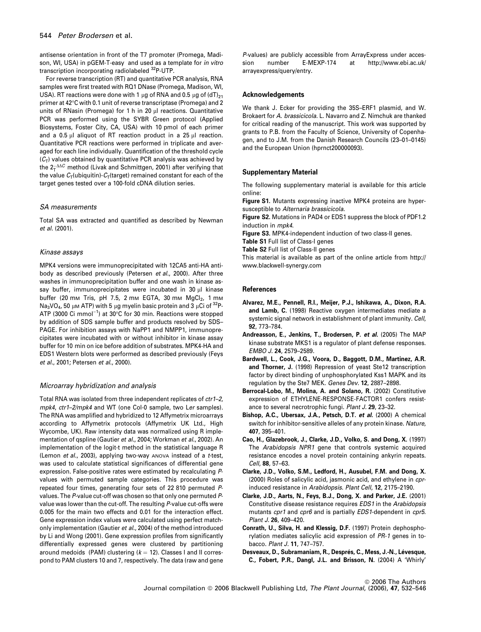antisense orientation in front of the T7 promoter (Promega, Madison, WI, USA) in pGEM-T-easy and used as a template for in vitro transcription incorporating radiolabeled 32P-UTP.

For reverse transcription (RT) and quantitative PCR analysis, RNA samples were first treated with RQ1 DNase (Promega, Madison, WI, USA). RT reactions were done with 1  $\mu$ g of RNA and 0.5  $\mu$ g of (dT)<sub>21</sub> primer at 42°C with 0.1 unit of reverse transcriptase (Promega) and 2 units of RNasin (Promega) for 1 h in 20  $\mu$  reactions. Quantitative PCR was performed using the SYBR Green protocol (Applied Biosystems, Foster City, CA, USA) with 10 pmol of each primer and a 0.5  $\mu$ l aliquot of RT reaction product in a 25  $\mu$ l reaction. Quantitative PCR reactions were performed in triplicate and averaged for each line individually. Quantification of the threshold cycle  $(C<sub>T</sub>)$  values obtained by quantitative PCR analysis was achieved by the 2<sup>- $\Delta$ o</sub>C method (Livak and Schmittgen, 2001) after verifying that</sup> the value  $C_T$ (ubiquitin)- $C_T$ (target) remained constant for each of the target genes tested over a 100-fold cDNA dilution series.

### SA measurements

Total SA was extracted and quantified as described by Newman et al. (2001).

### Kinase assays

MPK4 versions were immunoprecipitated with 12CA5 anti-HA antibody as described previously (Petersen et al., 2000). After three washes in immunoprecipitation buffer and one wash in kinase assay buffer, immunoprecipitates were incubated in 30 µl kinase buffer (20 mm Tris, pH 7.5, 2 mm EGTA, 30 mm MgCl<sub>2</sub>, 1 mm Na<sub>3</sub>VO<sub>4</sub>, 50  $\mu$ M ATP) with 5  $\mu$ g myelin basic protein and 3  $\mu$ Ci of <sup>32</sup>P-ATP (3000 Ci mmol<sup>-1</sup>) at 30°C for 30 min. Reactions were stopped by addition of SDS sample buffer and products resolved by SDS– PAGE. For inhibition assays with NaPP1 and NMPP1, immunoprecipitates were incubated with or without inhibitor in kinase assay buffer for 10 min on ice before addition of substrates. MPK4-HA and EDS1 Western blots were performed as described previously (Feys et al., 2001; Petersen et al., 2000).

### Microarray hybridization and analysis

Total RNA was isolated from three independent replicates of ctr1-2, mpk4, ctr1-2/mpk4 and WT (one Col-0 sample, two Ler samples). The RNA was amplified and hybridized to 12 Affymetrix microarrays according to Affymetrix protocols (Affymetrix UK Ltd., High Wycombe, UK). Raw intensity data was normalized using R implementation of qspline (Gautier et al., 2004; Workman et al., 2002). An implementation of the logit-t method in the statistical language R (Lemon et al., 2003), applying two-way ANOVA instead of a t-test, was used to calculate statistical significances of differential gene expression. False-positive rates were estimated by recalculating Pvalues with permuted sample categories. This procedure was repeated four times, generating four sets of 22 810 permuted Pvalues. The P-value cut-off was chosen so that only one permuted Pvalue was lower than the cut-off. The resulting P-value cut-offs were 0.005 for the main two effects and 0.01 for the interaction effect. Gene expression index values were calculated using perfect matchonly implementation (Gautier et al., 2004) of the method introduced by Li and Wong (2001). Gene expression profiles from significantly differentially expressed genes were clustered by partitioning around medoids (PAM) clustering  $(k = 12)$ . Classes I and II correspond to PAM clusters 10 and 7, respectively. The data (raw and gene P-values) are publicly accessible from ArrayExpress under accession number E-MEXP-174 at http://www.ebi.ac.uk/ arrayexpress/query/entry.

#### Acknowledgements

We thank J. Ecker for providing the 35S–ERF1 plasmid, and W. Brokaert for A. brassicicola. L. Navarro and Z. Nimchuk are thanked for critical reading of the manuscript. This work was supported by grants to P.B. from the Faculty of Science, University of Copenhagen, and to J.M. from the Danish Research Councils (23–01–0145) and the European Union (hprnct200000093).

### Supplementary Material

The following supplementary material is available for this article online:

Figure S1. Mutants expressing inactive MPK4 proteins are hypersusceptible to Alternaria brassicicola.

Figure S2. Mutations in PAD4 or EDS1 suppress the block of PDF1.2 induction in mpk4.

Figure S3. MPK4-independent induction of two class-II genes.

Table S1 Full list of Class-I genes

Table S2 Full list of Class-II genes

This material is available as part of the online article from http:// www.blackwell-synergy.com

#### References

- Alvarez, M.E., Pennell, R.I., Meijer, P.J., Ishikawa, A., Dixon, R.A. and Lamb, C. (1998) Reactive oxygen intermediates mediate a systemic signal network in establishment of plant immunity. Cell, 92, 773–784.
- Andreasson, E., Jenkins, T., Brodersen, P. et al. (2005) The MAP kinase substrate MKS1 is a regulator of plant defense responses. EMBO J. 24, 2579–2589.
- Bardwell, L., Cook, J.G., Voora, D., Baggott, D.M., Martinez, A.R. and Thorner, J. (1998) Repression of yeast Ste12 transcription factor by direct binding of unphosphorylated Kss1 MAPK and its regulation by the Ste7 MEK. Genes Dev. 12, 2887–2898.
- Berrocal-Lobo, M., Molina, A. and Solano, R. (2002) Constitutive expression of ETHYLENE-RESPONSE-FACTOR1 confers resistance to several necrotrophic fungi. Plant J. 29, 23–32.
- Bishop, A.C., Ubersax, J.A., Petsch, D.T. et al. (2000) A chemical switch for inhibitor-sensitive alleles of any protein kinase. Nature, 407, 395–401.
- Cao, H., Glazebrook, J., Clarke, J.D., Volko, S. and Dong, X. (1997) The Arabidopsis NPR1 gene that controls systemic acquired resistance encodes a novel protein containing ankyrin repeats. Cell, 88, 57–63.
- Clarke, J.D., Volko, S.M., Ledford, H., Ausubel, F.M. and Dong, X. (2000) Roles of salicylic acid, jasmonic acid, and ethylene in cprinduced resistance in Arabidopsis. Plant Cell, 12, 2175–2190.
- Clarke, J.D., Aarts, N., Feys, B.J., Dong, X. and Parker, J.E. (2001) Constitutive disease resistance requires EDS1 in the Arabidopsis mutants cpr1 and cpr6 and is partially EDS1-dependent in cpr5. Plant J. 26, 409–420.
- Conrath, U., Silva, H. and Klessig, D.F. (1997) Protein dephosphorylation mediates salicylic acid expression of PR-1 genes in tobacco. Plant J. 11, 747–757.
- Desveaux, D., Subramaniam, R., Després, C., Mess, J.-N., Lévesque, C., Fobert, P.R., Dangl, J.L. and Brisson, N. (2004) A 'Whirly'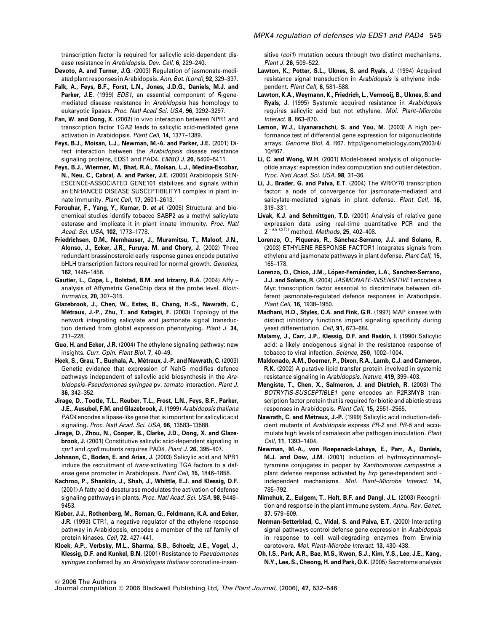transcription factor is required for salicylic acid-dependent disease resistance in Arabidopsis. Dev. Cell, 6, 229–240.

- Devoto, A. and Turner, J.G. (2003) Regulation of jasmonate-mediated plant responses in Arabidopsis. Ann. Bot. (Lond), 92, 329–337.
- Falk, A., Feys, B.F., Forst, L.N., Jones, J.D.G., Daniels, M.J. and Parker, J.E. (1999) *EDS1*, an essential component of R-genemediated disease resistance in Arabidopsis has homology to eukaryotic lipases. Proc. Natl Acad Sci. USA, 96, 3292–3297.
- Fan, W. and Dong, X. (2002) In vivo interaction between NPR1 and transcription factor TGA2 leads to salicylic acid-mediated gene activation in Arabidopsis. Plant Cell, 14, 1377–1389.
- Feys, B.J., Moisan, L.J., Newman, M.-A. and Parker, J.E. (2001) Direct interaction between the Arabidopsis disease resistance signaling proteins, EDS1 and PAD4. EMBO J. 20, 5400-5411.
- Feys, B.J., Wiermer, M., Bhat, R.A., Moisan, L.J., Medina-Escobar, N., Neu, C., Cabral, A. and Parker, J.E. (2005) Arabidopsis SEN-ESCENCE-ASSOCIATED GENE101 stabilizes and signals within an ENHANCED DISEASE SUSCEPTIBILITY1 complex in plant innate immunity. Plant Cell, 17, 2601–2613.
- Forouhar, F., Yang, Y., Kumar, D. et al. (2005) Structural and biochemical studies identify tobacco SABP2 as a methyl salicylate esterase and implicate it in plant innate immunity. Proc. Natl Acad. Sci. USA, 102, 1773–1778.
- Friedrichsen, D.M., Nemhauser, J., Muramitsu, T., Maloof, J.N., Alonso, J., Ecker, J.R., Furuya, M. and Chory, J. (2002) Three redundant brassinosteroid early response genes encode putative bHLH transcription factors required for normal growth. Genetics, 162, 1445–1456.
- Gautier, L., Cope, L., Bolstad, B.M. and Irizarry, R.A. (2004) Affy analysis of Affymetrix GeneChip data at the probe level. Bioinformatics, 20, 307–315.
- Glazebrook, J., Chen, W., Estes, B., Chang, H.-S., Nawrath, C., Métraux, J.-P., Zhu, T. and Katagiri, F. (2003) Topology of the network integrating salicylate and jasmonate signal transduction derived from global expression phenotyping. Plant J. 34, 217–228.
- Guo, H. and Ecker, J.R. (2004) The ethylene signaling pathway: new insights. Curr. Opin. Plant Biol. 7, 40–49.
- Heck, S., Grau, T., Buchala, A., Métraux, J.-P. and Nawrath, C. (2003) Genetic evidence that expression of NahG modifies defence pathways independent of salicylic acid biosynthesis in the Arabidopsis–Pseudomonas syringae pv. tomato interaction. Plant J. 36, 342–352.
- Jirage, D., Tootle, T.L., Reuber, T.L., Frost, L.N., Feys, B.F., Parker, J.E., Ausubel, F.M. and Glazebrook, J. (1999) Arabidopsis thaliana PAD4 encodes a lipase-like gene that is important for salicylic acid signaling. Proc. Natl Acad. Sci. USA, 96, 13583–13588.
- Jirage, D., Zhou, N., Cooper, B., Clarke, J.D., Dong, X. and Glazebrook, J. (2001) Constitutive salicylic acid-dependent signaling in cpr1 and cpr6 mutants requires PAD4. Plant J. 26, 395-407.
- Johnson, C., Boden, E. and Arias, J. (2003) Salicylic acid and NPR1 induce the recruitment of trans-activating TGA factors to a defense gene promoter in Arabidopsis. Plant Cell, 15, 1846–1858.
- Kachroo, P., Shanklin, J., Shah, J., Whittle, E.J. and Klessig, D.F. (2001) A fatty acid desaturase modulates the activation of defense signaling pathways in plants. Proc. Natl Acad. Sci. USA, 98, 9448– 9453.
- Kieber, J.J., Rothenberg, M., Roman, G., Feldmann, K.A. and Ecker, J.R. (1993) CTR1, a negative regulator of the ethylene response pathway in Arabidopsis, encodes a member of the raf family of protein kinases. Cell, 72, 427–441.
- Kloek, A.P., Verbsky, M.L., Sharma, S.B., Schoelz, J.E., Vogel, J., Klessig, D.F. and Kunkel, B.N. (2001) Resistance to Pseudomonas syringae conferred by an Arabidopsis thaliana coronatine-insen-

sitive (coi1) mutation occurs through two distinct mechanisms. Plant J. 26, 509–522.

- Lawton, K., Potter, S.L., Uknes, S. and Ryals, J. (1994) Acquired resistance signal transduction in Arabidopsis is ethylene independent. Plant Cell, 6, 581–588.
- Lawton, K.A., Weymann, K., Friedrich, L., Vernooij, B., Uknes, S. and Ryals, J. (1995) Systemic acquired resistance in Arabidopsis requires salicylic acid but not ethylene. Mol. Plant–Microbe Interact. 8, 863–870.
- Lemon, W.J., Liyanarachchi, S. and You, M. (2003) A high performance test of differential gene expression for oligonucleotide arrays. Genome Biol. 4, R67. http://genomebiology.com/2003/4/ 10/R67.
- Li, C. and Wong, W.H. (2001) Model-based analysis of oligonucleotide arrays: expression index computation and outlier detection. Proc. Natl Acad. Sci. USA, 98, 31-36.
- Li, J., Brader, G. and Palva, E.T. (2004) The WRKY70 transcription factor: a node of convergence for jasmonate-mediated and salicylate-mediated signals in plant defense. Plant Cell, 16, 319–331.
- Livak, K.J. and Schmittgen, T.D. (2001) Analysis of relative gene expression data using real-time quantitative PCR and the  $2^{(-\Delta\Delta \ C(T))}$  method. *Methods*, **25**, 402–408.
- Lorenzo, O., Piqueras, R., Sánchez-Serrano, J.J. and Solano, R. (2003) ETHYLENE RESPONSE FACTOR1 integrates signals from ethylene and jasmonate pathways in plant defense. Plant Cell, 15, 165–178.
- Lorenzo, O., Chico, J.M., López-Fernández, L.A., Sanchez-Serrano, J.J. and Solano, R. (2004) JASMONATE-INSENSITIVE1 encodes a Myc transcription factor essential to discriminate between different jasmonate-regulated defence responses in Arabodipsis. Plant Cell, 16, 1938–1950.
- Madhani, H.D., Styles, C.A. and Fink, G.R. (1997) MAP kinases with distinct inhibitory functions impart signaling specificity during yeast differentiation. Cell, 91, 673-684.
- Malamy, J., Carr, J.P., Klessig, D.F. and Raskin, I. (1990) Salicylic acid: a likely endogenous signal in the resistance response of tobacco to viral infection. Science, 250, 1002–1004.
- Maldonado, A.M., Doerner, P., Dixon, R.A., Lamb, C.J. and Cameron, R.K. (2002) A putative lipid transfer protein involved in systemic resistance signaling in Arabidopsis. Nature, 419, 399-403.
- Mengiste, T., Chen, X., Salmeron, J. and Dietrich, R. (2003) The BOTRYTIS-SUSCEPTIBLE1 gene encodes an R2R3MYB transcription factor protein that is required for biotic and abiotic stress responses in Arabidopsis. Plant Cell, 15, 2551–2565.
- Nawrath, C. and Métraux, J.-P. (1999) Salicylic acid induction-deficient mutants of Arabidopsis express PR-2 and PR-5 and accumulate high levels of camalexin after pathogen inoculation. Plant Cell, 11, 1393–1404.
- Newman, M.-A., von Roepenack-Lahaye, E., Parr, A., Daniels, M.J. and Dow, J.M. (2001) Induction of hydroxycinnamoyl– tyramine conjugates in pepper by Xanthomonas campestris: a plant defense response activated by hrp gene-dependent and independent mechanisms. Mol. Plant–Microbe Interact. 14, 785–792.
- Nimchuk, Z., Eulgem, T., Holt, B.F. and Dangl, J.L. (2003) Recognition and response in the plant immune system. Annu. Rev. Genet. 37, 579–609.
- Norman-Setterblad, C., Vidal, S. and Palva, E.T. (2000) Interacting signal pathways control defense gene expression in Arabidopsis in response to cell wall-degrading enzymes from Erwinia carotovora. Mol. Plant–Microbe Interact. 13, 430–438.
- Oh, I.S., Park, A.R., Bae, M.S., Kwon, S.J., Kim, Y.S., Lee, J.E., Kang, N.Y., Lee, S., Cheong, H. and Park, O.K. (2005) Secretome analysis

Journal compilation © 2006 Blackwell Publishing Ltd, The Plant Journal, (2006), 47, 532-546

<sup>&</sup>lt;sup>©</sup> 2006 The Authors